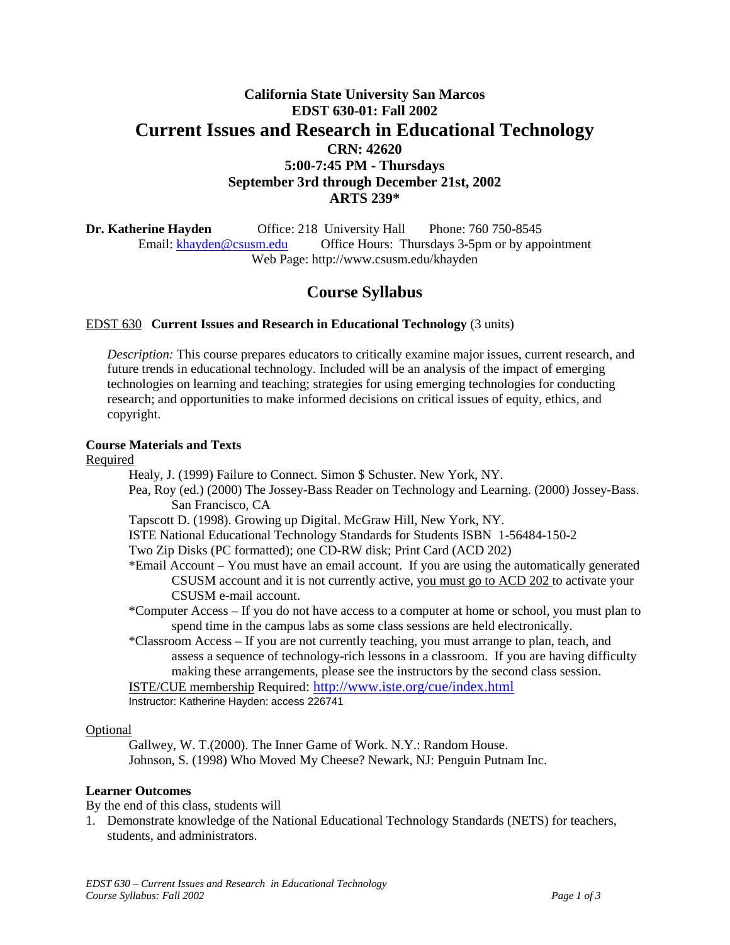# **California State University San Marcos EDST 630-01: Fall 2002 Current Issues and Research in Educational Technology CRN: 42620 5:00-7:45 PM - Thursdays September 3rd through December 21st, 2002 ARTS 239\***

**Dr. Katherine Hayden** Office: 218 University Hall Phone: 760 750-8545 Email: [khayden@csusm.edu](mailto:khayden@csusm.edu) Office Hours: Thursdays 3-5pm or by appointment Web Page: http://www.csusm.edu/khayden

# **Course Syllabus**

## EDST 630 **Current Issues and Research in Educational Technology** (3 units)

*Description:* This course prepares educators to critically examine major issues, current research, and future trends in educational technology. Included will be an analysis of the impact of emerging technologies on learning and teaching; strategies for using emerging technologies for conducting research; and opportunities to make informed decisions on critical issues of equity, ethics, and copyright.

#### **Course Materials and Texts**

Required

- Healy, J. (1999) Failure to Connect. Simon \$ Schuster. New York, NY.
- Pea, Roy (ed.) (2000) The Jossey-Bass Reader on Technology and Learning. (2000) Jossey-Bass. San Francisco, CA
- Tapscott D. (1998). Growing up Digital. McGraw Hill, New York, NY.
- ISTE National Educational Technology Standards for Students ISBN 1-56484-150-2
- Two Zip Disks (PC formatted); one CD-RW disk; Print Card (ACD 202)
- \*Email Account You must have an email account. If you are using the automatically generated CSUSM account and it is not currently active, you must go to ACD 202 to activate your CSUSM e-mail account.
- \*Computer Access If you do not have access to a computer at home or school, you must plan to spend time in the campus labs as some class sessions are held electronically.
- \*Classroom Access If you are not currently teaching, you must arrange to plan, teach, and assess a sequence of technology-rich lessons in a classroom. If you are having difficulty making these arrangements, please see the instructors by the second class session.

ISTE/CUE membership Required:<http://www.iste.org/cue/index.html> Instructor: Katherine Hayden: access 226741

#### Optional

Gallwey, W. T.(2000). The Inner Game of Work. N.Y.: Random House. Johnson, S. (1998) Who Moved My Cheese? Newark, NJ: Penguin Putnam Inc.

## **Learner Outcomes**

By the end of this class, students will

1. Demonstrate knowledge of the National Educational Technology Standards (NETS) for teachers, students, and administrators.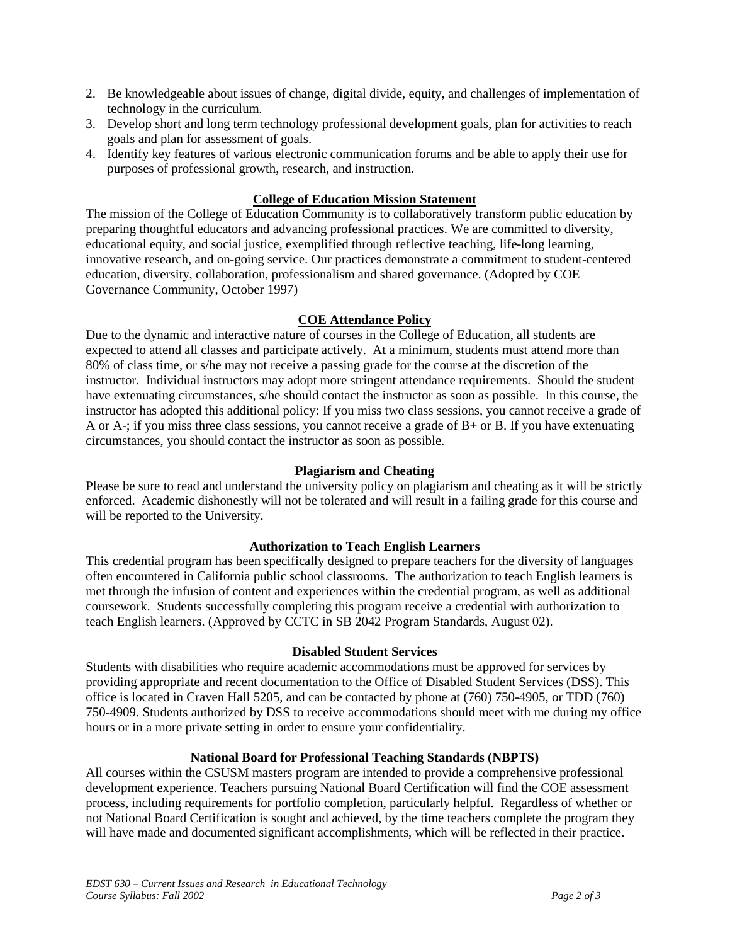- 2. Be knowledgeable about issues of change, digital divide, equity, and challenges of implementation of technology in the curriculum.
- 3. Develop short and long term technology professional development goals, plan for activities to reach goals and plan for assessment of goals.
- 4. Identify key features of various electronic communication forums and be able to apply their use for purposes of professional growth, research, and instruction.

## **College of Education Mission Statement**

The mission of the College of Education Community is to collaboratively transform public education by preparing thoughtful educators and advancing professional practices. We are committed to diversity, educational equity, and social justice, exemplified through reflective teaching, life-long learning, innovative research, and on-going service. Our practices demonstrate a commitment to student-centered education, diversity, collaboration, professionalism and shared governance. (Adopted by COE Governance Community, October 1997)

## **COE Attendance Policy**

Due to the dynamic and interactive nature of courses in the College of Education, all students are expected to attend all classes and participate actively. At a minimum, students must attend more than 80% of class time, or s/he may not receive a passing grade for the course at the discretion of the instructor. Individual instructors may adopt more stringent attendance requirements. Should the student have extenuating circumstances, s/he should contact the instructor as soon as possible. In this course, the instructor has adopted this additional policy: If you miss two class sessions, you cannot receive a grade of A or A-; if you miss three class sessions, you cannot receive a grade of  $B+$  or B. If you have extenuating circumstances, you should contact the instructor as soon as possible.

## **Plagiarism and Cheating**

Please be sure to read and understand the university policy on plagiarism and cheating as it will be strictly enforced. Academic dishonestly will not be tolerated and will result in a failing grade for this course and will be reported to the University.

## **Authorization to Teach English Learners**

This credential program has been specifically designed to prepare teachers for the diversity of languages often encountered in California public school classrooms. The authorization to teach English learners is met through the infusion of content and experiences within the credential program, as well as additional coursework. Students successfully completing this program receive a credential with authorization to teach English learners. (Approved by CCTC in SB 2042 Program Standards, August 02).

## **Disabled Student Services**

Students with disabilities who require academic accommodations must be approved for services by providing appropriate and recent documentation to the Office of Disabled Student Services (DSS). This office is located in Craven Hall 5205, and can be contacted by phone at (760) 750-4905, or TDD (760) 750-4909. Students authorized by DSS to receive accommodations should meet with me during my office hours or in a more private setting in order to ensure your confidentiality.

## **National Board for Professional Teaching Standards (NBPTS)**

All courses within the CSUSM masters program are intended to provide a comprehensive professional development experience. Teachers pursuing National Board Certification will find the COE assessment process, including requirements for portfolio completion, particularly helpful. Regardless of whether or not National Board Certification is sought and achieved, by the time teachers complete the program they will have made and documented significant accomplishments, which will be reflected in their practice.